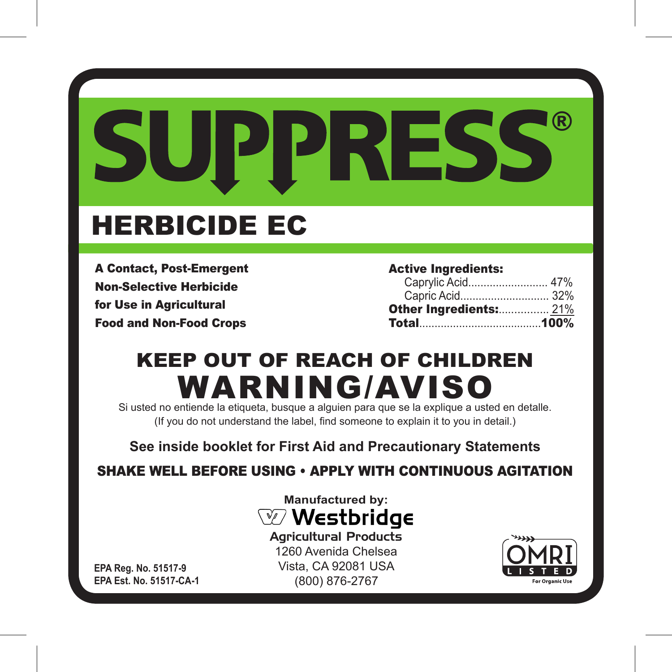# ® SUPPRESS

# HERBICIDE EC

A Contact, Post-Emergent Non-Selective Herbicide for Use in Agricultural Food and Non-Food Crops

Active Ingredients:

| Caprylic Acid 47%             |  |
|-------------------------------|--|
|                               |  |
| <b>Other Ingredients: 21%</b> |  |
|                               |  |

## KEEP OUT OF REACH OF CHILDREN WARNING/AVISO

Si usted no entiende la etiqueta, busque a alguien para que se la explique a usted en detalle. (If you do not understand the label, find someone to explain it to you in detail.)

**See inside booklet for First Aid and Precautionary Statements**

SHAKE WELL BEFORE USING • APPLY WITH CONTINUOUS AGITATION



Agricultural Products 1260 Avenida Chelsea Vista, CA 92081 USA (800) 876-2767



**EPA Reg. No. 51517-9 EPA Est. No. 51517-CA-1**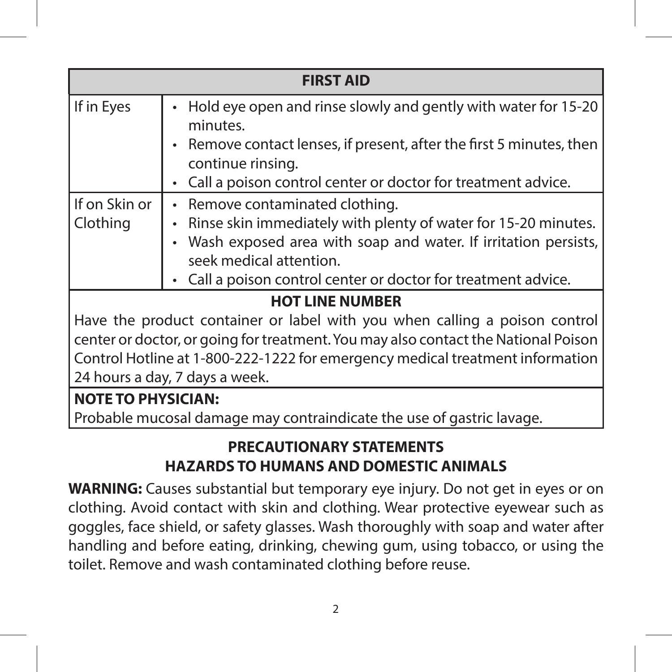| <b>FIRST AID</b>                                                                                                                                                                                                                                                                    |                                                                                                                                                                                                                                                              |  |
|-------------------------------------------------------------------------------------------------------------------------------------------------------------------------------------------------------------------------------------------------------------------------------------|--------------------------------------------------------------------------------------------------------------------------------------------------------------------------------------------------------------------------------------------------------------|--|
| If in Eyes                                                                                                                                                                                                                                                                          | Hold eye open and rinse slowly and gently with water for 15-20<br>minutes.<br>Remove contact lenses, if present, after the first 5 minutes, then<br>continue rinsing.                                                                                        |  |
|                                                                                                                                                                                                                                                                                     | Call a poison control center or doctor for treatment advice.                                                                                                                                                                                                 |  |
| If on Skin or<br>Clothing                                                                                                                                                                                                                                                           | Remove contaminated clothing.<br>Rinse skin immediately with plenty of water for 15-20 minutes.<br>Wash exposed area with soap and water. If irritation persists,<br>seek medical attention.<br>Call a poison control center or doctor for treatment advice. |  |
| <b>HOT LINE NUMBER</b>                                                                                                                                                                                                                                                              |                                                                                                                                                                                                                                                              |  |
| Have the product container or label with you when calling a poison control<br>center or doctor, or going for treatment. You may also contact the National Poison<br>Control Hotline at 1-800-222-1222 for emergency medical treatment information<br>24 hours a day, 7 days a week. |                                                                                                                                                                                                                                                              |  |
| <b>NOTE TO PHYSICIAN:</b>                                                                                                                                                                                                                                                           |                                                                                                                                                                                                                                                              |  |
|                                                                                                                                                                                                                                                                                     | Probable mucosal damage may contraindicate the use of gastric layage.                                                                                                                                                                                        |  |

#### **PRECAUTIONARY STATEMENTS HAZARDS TO HUMANS AND DOMESTIC ANIMALS**

**WARNING:** Causes substantial but temporary eye injury. Do not get in eyes or on clothing. Avoid contact with skin and clothing. Wear protective eyewear such as goggles, face shield, or safety glasses. Wash thoroughly with soap and water after handling and before eating, drinking, chewing gum, using tobacco, or using the toilet. Remove and wash contaminated clothing before reuse.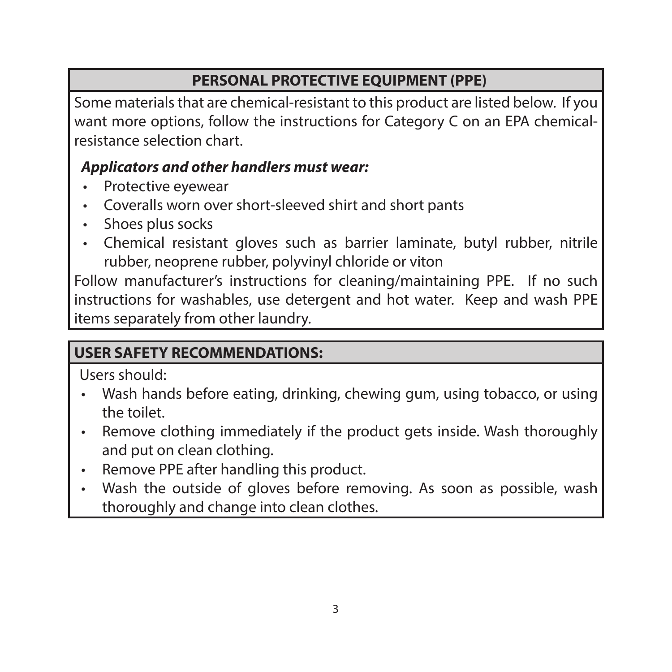#### **PERSONAL PROTECTIVE EQUIPMENT (PPE)**

Some materials that are chemical-resistant to this product are listed below. If you want more options, follow the instructions for Category C on an EPA chemicalresistance selection chart.

#### *Applicators and other handlers must wear:*

- Protective eyewear
- Coveralls worn over short-sleeved shirt and short pants
- Shoes plus socks
- Chemical resistant gloves such as barrier laminate, butyl rubber, nitrile rubber, neoprene rubber, polyvinyl chloride or viton

Follow manufacturer's instructions for cleaning/maintaining PPE. If no such instructions for washables, use detergent and hot water. Keep and wash PPE items separately from other laundry.

#### **USER SAFETY RECOMMENDATIONS:**

Users should:

- Wash hands before eating, drinking, chewing gum, using tobacco, or using the toilet.
- Remove clothing immediately if the product gets inside. Wash thoroughly and put on clean clothing.
- Remove PPE after handling this product.
- Wash the outside of gloves before removing. As soon as possible, wash thoroughly and change into clean clothes.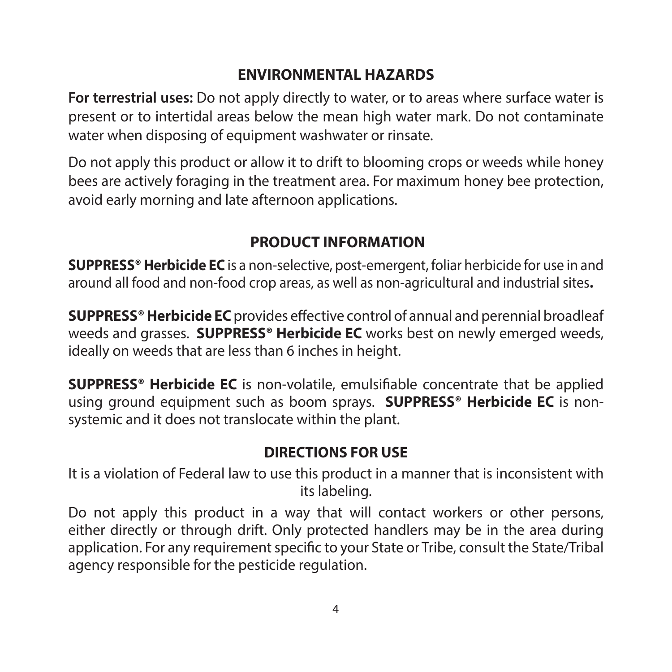#### **ENVIRONMENTAL HAZARDS**

**For terrestrial uses:** Do not apply directly to water, or to areas where surface water is present or to intertidal areas below the mean high water mark. Do not contaminate water when disposing of equipment washwater or rinsate.

Do not apply this product or allow it to drift to blooming crops or weeds while honey bees are actively foraging in the treatment area. For maximum honey bee protection, avoid early morning and late afternoon applications.

#### **PRODUCT INFORMATION**

**SUPPRESS® Herbicide EC** is a non-selective, post-emergent, foliar herbicide for use in and around all food and non-food crop areas, as well as non-agricultural and industrial sites**.** 

**SUPPRESS® Herbicide EC** provides effective control of annual and perennial broadleaf weeds and grasses. **SUPPRESS® Herbicide EC** works best on newly emerged weeds, ideally on weeds that are less than 6 inches in height.

**SUPPRESS® Herbicide EC** is non-volatile, emulsifiable concentrate that be applied using ground equipment such as boom sprays. **SUPPRESS® Herbicide EC** is nonsystemic and it does not translocate within the plant.

#### **DIRECTIONS FOR USE**

It is a violation of Federal law to use this product in a manner that is inconsistent with its labeling.

Do not apply this product in a way that will contact workers or other persons, either directly or through drift. Only protected handlers may be in the area during application. For any requirement specific to your State or Tribe, consult the State/Tribal agency responsible for the pesticide regulation.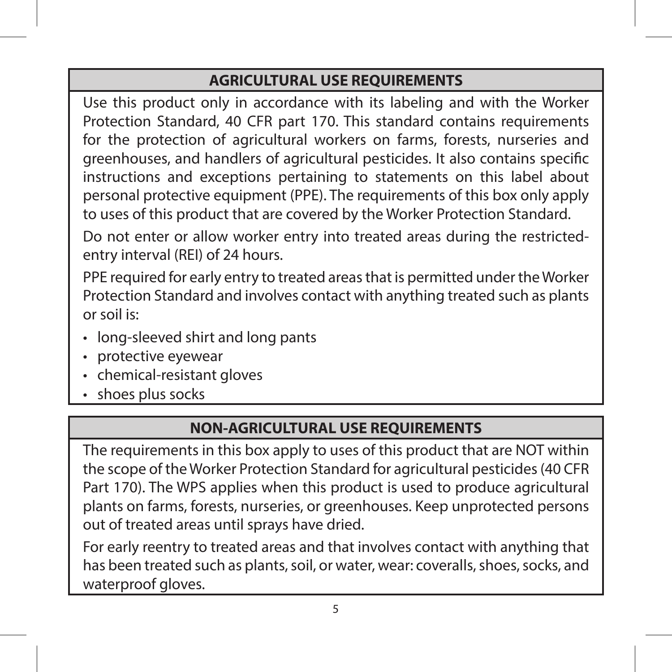#### **AGRICULTURAL USE REQUIREMENTS**

Use this product only in accordance with its labeling and with the Worker Protection Standard, 40 CFR part 170. This standard contains requirements for the protection of agricultural workers on farms, forests, nurseries and greenhouses, and handlers of agricultural pesticides. It also contains specific instructions and exceptions pertaining to statements on this label about personal protective equipment (PPE). The requirements of this box only apply to uses of this product that are covered by the Worker Protection Standard.

Do not enter or allow worker entry into treated areas during the restrictedentry interval (REI) of 24 hours.

PPE required for early entry to treated areas that is permitted under the Worker Protection Standard and involves contact with anything treated such as plants or soil is:

- long-sleeved shirt and long pants
- protective eyewear
- chemical-resistant gloves
- shoes plus socks

#### **NON-AGRICULTURAL USE REQUIREMENTS**

The requirements in this box apply to uses of this product that are NOT within the scope of the Worker Protection Standard for agricultural pesticides (40 CFR Part 170). The WPS applies when this product is used to produce agricultural plants on farms, forests, nurseries, or greenhouses. Keep unprotected persons out of treated areas until sprays have dried.

For early reentry to treated areas and that involves contact with anything that has been treated such as plants, soil, or water, wear: coveralls, shoes, socks, and waterproof gloves.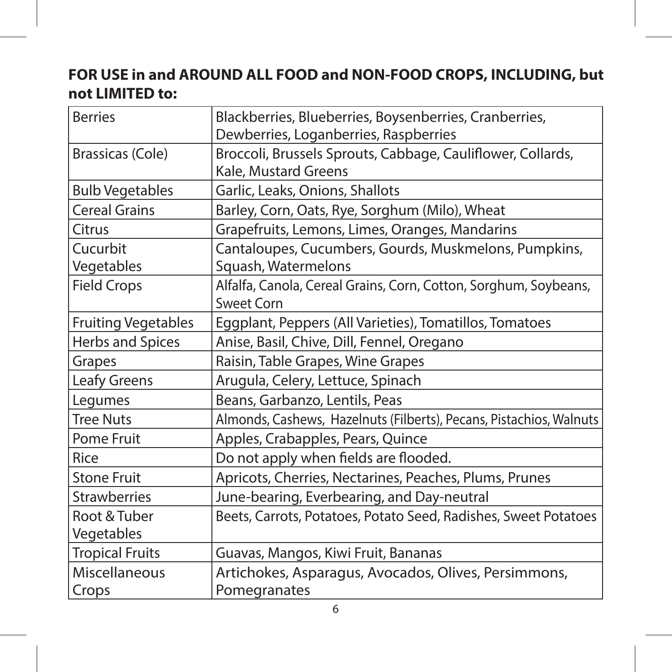#### **FOR USE in and AROUND ALL FOOD and NON-FOOD CROPS, INCLUDING, but not LIMITED to:**

| <b>Berries</b>             | Blackberries, Blueberries, Boysenberries, Cranberries,                         |
|----------------------------|--------------------------------------------------------------------------------|
|                            | Dewberries, Loganberries, Raspberries                                          |
| Brassicas (Cole)           | Broccoli, Brussels Sprouts, Cabbage, Cauliflower, Collards,                    |
|                            | Kale, Mustard Greens                                                           |
| <b>Bulb Vegetables</b>     | Garlic, Leaks, Onions, Shallots                                                |
| <b>Cereal Grains</b>       | Barley, Corn, Oats, Rye, Sorghum (Milo), Wheat                                 |
| Citrus                     | Grapefruits, Lemons, Limes, Oranges, Mandarins                                 |
| Cucurbit<br>Vegetables     | Cantaloupes, Cucumbers, Gourds, Muskmelons, Pumpkins,<br>Squash, Watermelons   |
| <b>Field Crops</b>         | Alfalfa, Canola, Cereal Grains, Corn, Cotton, Sorghum, Soybeans,<br>Sweet Corn |
| <b>Fruiting Vegetables</b> | Eggplant, Peppers (All Varieties), Tomatillos, Tomatoes                        |
| Herbs and Spices           | Anise, Basil, Chive, Dill, Fennel, Oregano                                     |
| Grapes                     | Raisin, Table Grapes, Wine Grapes                                              |
| Leafy Greens               | Arugula, Celery, Lettuce, Spinach                                              |
| Legumes                    | Beans, Garbanzo, Lentils, Peas                                                 |
| <b>Tree Nuts</b>           | Almonds, Cashews, Hazelnuts (Filberts), Pecans, Pistachios, Walnuts            |
| Pome Fruit                 | Apples, Crabapples, Pears, Quince                                              |
| Rice                       | Do not apply when fields are flooded.                                          |
| <b>Stone Fruit</b>         | Apricots, Cherries, Nectarines, Peaches, Plums, Prunes                         |
| <b>Strawberries</b>        | June-bearing, Everbearing, and Day-neutral                                     |
| Root & Tuber               | Beets, Carrots, Potatoes, Potato Seed, Radishes, Sweet Potatoes                |
| Vegetables                 |                                                                                |
| <b>Tropical Fruits</b>     | Guavas, Mangos, Kiwi Fruit, Bananas                                            |
| Miscellaneous              | Artichokes, Asparagus, Avocados, Olives, Persimmons,                           |
| Crops                      | Pomegranates                                                                   |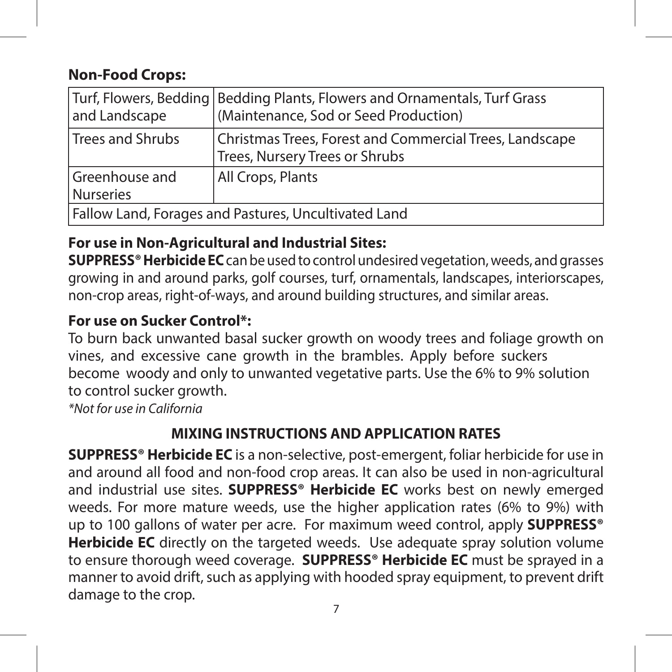#### **Non-Food Crops:**

| and Landscape                                        | Turf, Flowers, Bedding   Bedding Plants, Flowers and Ornamentals, Turf Grass<br>(Maintenance, Sod or Seed Production) |
|------------------------------------------------------|-----------------------------------------------------------------------------------------------------------------------|
| Trees and Shrubs                                     | Christmas Trees, Forest and Commercial Trees, Landscape<br>Trees, Nursery Trees or Shrubs                             |
| Greenhouse and<br><b>Nurseries</b>                   | All Crops, Plants                                                                                                     |
| Fallow Land, Forages and Pastures, Uncultivated Land |                                                                                                                       |

#### **For use in Non-Agricultural and Industrial Sites:**

**SUPPRESS® Herbicide EC**can be used to control undesired vegetation, weeds, and grasses growing in and around parks, golf courses, turf, ornamentals, landscapes, interiorscapes, non-crop areas, right-of-ways, and around building structures, and similar areas.

#### **For use on Sucker Control\*:**

To burn back unwanted basal sucker growth on woody trees and foliage growth on vines, and excessive cane growth in the brambles. Apply before suckers become woody and only to unwanted vegetative parts. Use the 6% to 9% solution to control sucker growth.

*\*Not for use in California*

#### **MIXING INSTRUCTIONS AND APPLICATION RATES**

**SUPPRESS® Herbicide EC** is a non-selective, post-emergent, foliar herbicide for use in and around all food and non-food crop areas. It can also be used in non-agricultural and industrial use sites. **SUPPRESS® Herbicide EC** works best on newly emerged weeds. For more mature weeds, use the higher application rates (6% to 9%) with up to 100 gallons of water per acre. For maximum weed control, apply **SUPPRESS® Herbicide EC** directly on the targeted weeds. Use adequate spray solution volume to ensure thorough weed coverage. **SUPPRESS® Herbicide EC** must be sprayed in a manner to avoid drift, such as applying with hooded spray equipment, to prevent drift damage to the crop.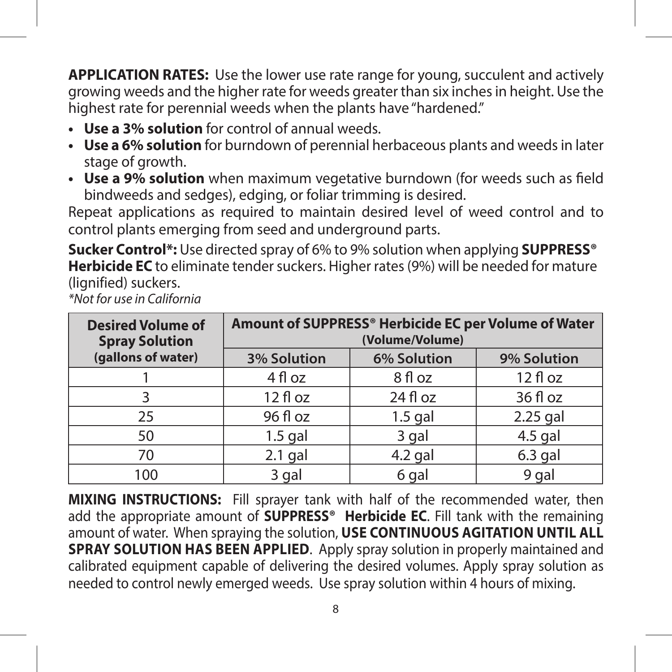**APPLICATION RATES:** Use the lower use rate range for young, succulent and actively growing weeds and the higher rate for weeds greater than six inches in height. Use the highest rate for perennial weeds when the plants have "hardened."

- **• Use a 3% solution** for control of annual weeds.
- **• Use a 6% solution** for burndown of perennial herbaceous plants and weeds in later stage of growth.
- **• Use a 9% solution** when maximum vegetative burndown (for weeds such as field bindweeds and sedges), edging, or foliar trimming is desired.

Repeat applications as required to maintain desired level of weed control and to control plants emerging from seed and underground parts.

**Sucker Control\*:** Use directed spray of 6% to 9% solution when applying **SUPPRESS® Herbicide EC** to eliminate tender suckers. Higher rates (9%) will be needed for mature (lignified) suckers.

*\*Not for use in California*

| <b>Desired Volume of</b><br><b>Spray Solution</b> | Amount of SUPPRESS® Herbicide EC per Volume of Water<br>(Volume/Volume) |             |             |
|---------------------------------------------------|-------------------------------------------------------------------------|-------------|-------------|
| (gallons of water)                                | 3% Solution                                                             | 6% Solution | 9% Solution |
|                                                   | 4 fl oz                                                                 | 8 fl oz     | $12f$ loz   |
| 3                                                 | $12f$ l oz                                                              | $24f$ l oz  | $36f$ loz   |
| 25                                                | 96 fl oz                                                                | $1.5$ gal   | $2.25$ gal  |
| 50                                                | $1.5$ gal                                                               | 3 gal       | $4.5$ gal   |
| 70                                                | $2.1$ gal                                                               | $4.2$ gal   | $6.3$ gal   |
| 100                                               | 3 gal                                                                   | 6 gal       | 9 gal       |

**MIXING INSTRUCTIONS:** Fill sprayer tank with half of the recommended water, then add the appropriate amount of **SUPPRESS® Herbicide EC**. Fill tank with the remaining amount of water. When spraying the solution, **USE CONTINUOUS AGITATION UNTIL ALL SPRAY SOLUTION HAS BEEN APPLIED**. Apply spray solution in properly maintained and calibrated equipment capable of delivering the desired volumes. Apply spray solution as needed to control newly emerged weeds. Use spray solution within 4 hours of mixing.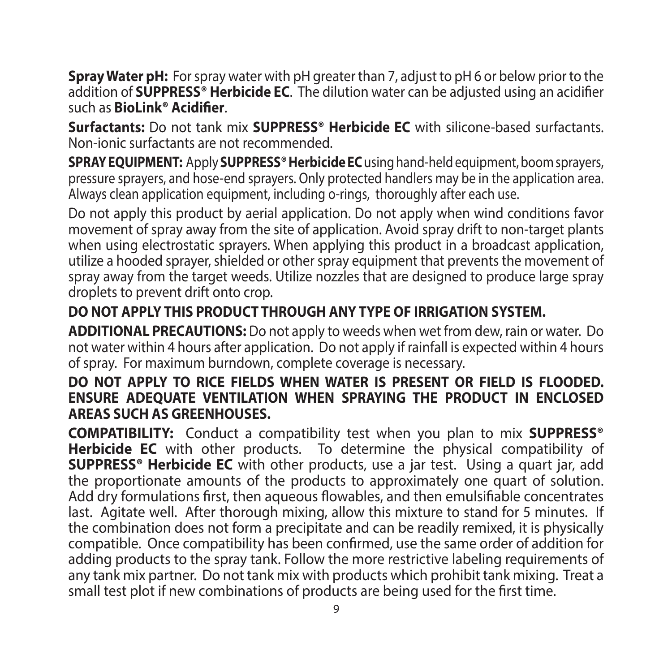**Spray Water pH:** For spray water with pH greater than 7, adjust to pH 6 or below prior to the addition of **SUPPRESS® Herbicide EC**. The dilution water can be adjusted using an acidifier such as **BioLink® Acidifier**.

**Surfactants:** Do not tank mix **SUPPRESS® Herbicide EC** with silicone-based surfactants. Non-ionic surfactants are not recommended.

**SPRAY EQUIPMENT:** Apply **SUPPRESS® Herbicide EC** using hand-held equipment, boom sprayers, pressure sprayers, and hose-end sprayers. Only protected handlers may be in the application area. Always clean application equipment, including o-rings, thoroughly after each use.

Do not apply this product by aerial application. Do not apply when wind conditions favor movement of spray away from the site of application. Avoid spray drift to non-target plants when using electrostatic sprayers. When applying this product in a broadcast application, utilize a hooded sprayer, shielded or other spray equipment that prevents the movement of spray away from the target weeds. Utilize nozzles that are designed to produce large spray droplets to prevent drift onto crop.

#### **DO NOT APPLY THIS PRODUCT THROUGH ANY TYPE OF IRRIGATION SYSTEM.**

**ADDITIONAL PRECAUTIONS:** Do not apply to weeds when wet from dew, rain or water. Do not water within 4 hours after application. Do not apply if rainfall is expected within 4 hours of spray. For maximum burndown, complete coverage is necessary.

#### **DO NOT APPLY TO RICE FIELDS WHEN WATER IS PRESENT OR FIELD IS FLOODED. ENSURE ADEQUATE VENTILATION WHEN SPRAYING THE PRODUCT IN ENCLOSED AREAS SUCH AS GREENHOUSES.**

**COMPATIBILITY:** Conduct a compatibility test when you plan to mix **SUPPRESS® Herbicide EC** with other products. To determine the physical compatibility of **SUPPRESS® Herbicide EC** with other products, use a jar test. Using a quart jar, add the proportionate amounts of the products to approximately one quart of solution. Add dry formulations first, then aqueous flowables, and then emulsifiable concentrates last. Agitate well. After thorough mixing, allow this mixture to stand for 5 minutes. If the combination does not form a precipitate and can be readily remixed, it is physically compatible. Once compatibility has been confirmed, use the same order of addition for adding products to the spray tank. Follow the more restrictive labeling requirements of any tank mix partner. Do not tank mix with products which prohibit tank mixing. Treat a small test plot if new combinations of products are being used for the first time.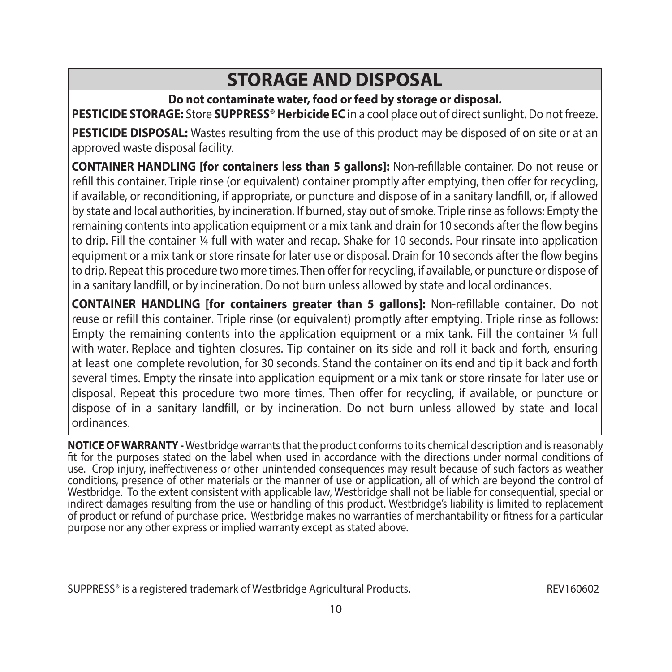#### **STORAGE AND DISPOSAL**

#### **Do not contaminate water, food or feed by storage or disposal.**

**PESTICIDE STORAGE:** Store **SUPPRESS® Herbicide EC** in a cool place out of direct sunlight. Do not freeze.

**PESTICIDE DISPOSAL:** Wastes resulting from the use of this product may be disposed of on site or at an approved waste disposal facility.

**CONTAINER HANDLING [for containers less than 5 gallons]:** Non-refillable container. Do not reuse or refill this container. Triple rinse (or equivalent) container promptly after emptying, then offer for recycling, if available, or reconditioning, if appropriate, or puncture and dispose of in a sanitary landfill, or, if allowed by state and local authorities, by incineration. If burned, stay out of smoke. Triple rinse as follows: Empty the remaining contents into application equipment or a mix tank and drain for 10 seconds after the flow begins to drip. Fill the container ¼ full with water and recap. Shake for 10 seconds. Pour rinsate into application equipment or a mix tank or store rinsate for later use or disposal. Drain for 10 seconds after the flow begins to drip. Repeat this procedure two more times. Then offer for recycling, if available, or puncture or dispose of in a sanitary landfill, or by incineration. Do not burn unless allowed by state and local ordinances.

**CONTAINER HANDLING [for containers greater than 5 gallons]:** Non-refillable container. Do not reuse or refill this container. Triple rinse (or equivalent) promptly after emptying. Triple rinse as follows: Empty the remaining contents into the application equipment or a mix tank. Fill the container  $\frac{1}{4}$  full with water. Replace and tighten closures. Tip container on its side and roll it back and forth, ensuring at least one complete revolution, for 30 seconds. Stand the container on its end and tip it back and forth several times. Empty the rinsate into application equipment or a mix tank or store rinsate for later use or disposal. Repeat this procedure two more times. Then offer for recycling, if available, or puncture or dispose of in a sanitary landfill, or by incineration. Do not burn unless allowed by state and local ordinances.

**NOTICE OF WARRANTY -** Westbridge warrants that the product conforms to its chemical description and is reasonably fit for the purposes stated on the label when used in accordance with the directions under normal conditions of use. Crop injury, ineffectiveness or other unintended consequences may result because of such factors as weather conditions, presence of other materials or the manner of use or application, all of which are beyond the control of Westbridge. To the extent consistent with applicable law, Westbridge shall not be liable for consequential, special or indirect damages resulting from the use or handling of this product. Westbridge's liability is limited to replacement of product or refund of purchase price. Westbridge makes no warranties of merchantability or fitness for a particular purpose nor any other express or implied warranty except as stated above.

SUPPRESS® is a registered trademark of Westbridge Agricultural Products. REV160602